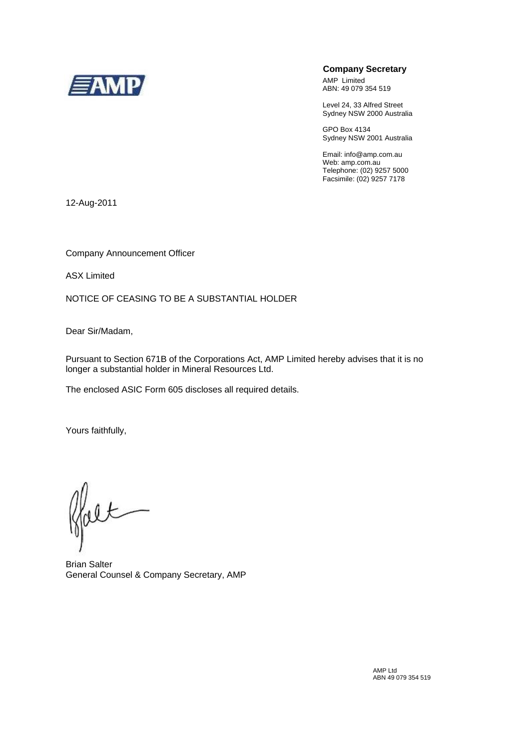

## **Company Secretary**

AMP Limited ABN: 49 079 354 519

Level 24, 33 Alfred Street Sydney NSW 2000 Australia

GPO Box 4134 Sydney NSW 2001 Australia

Email: info@amp.com.au Web: amp.com.au Telephone: (02) 9257 5000 Facsimile: (02) 9257 7178

12-Aug-2011

Company Announcement Officer

ASX Limited

NOTICE OF CEASING TO BE A SUBSTANTIAL HOLDER

Dear Sir/Madam,

Pursuant to Section 671B of the Corporations Act, AMP Limited hereby advises that it is no longer a substantial holder in Mineral Resources Ltd.

The enclosed ASIC Form 605 discloses all required details.

Yours faithfully,

falt

Brian Salter General Counsel & Company Secretary, AMP

AMP Ltd ABN 49 079 354 519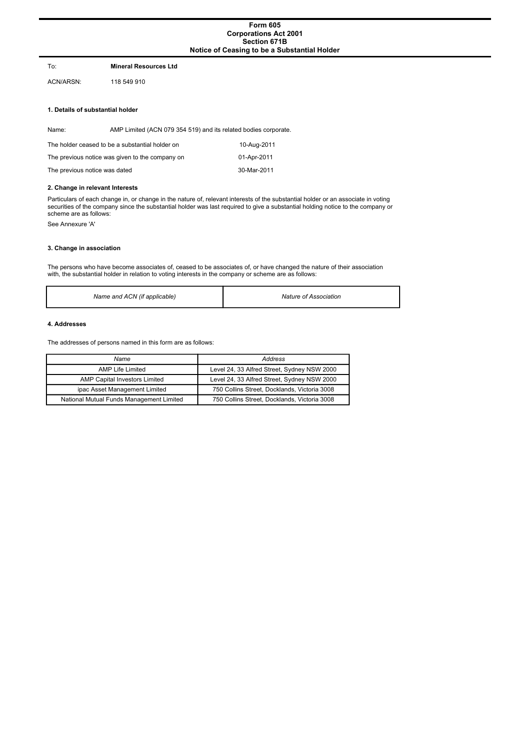## **Form 605 Corporations Act 2001 Section 671B Notice of Ceasing to be a Substantial Holder**

#### To: **Mineral Resources Ltd**

ACN/ARSN: 118 549 910

#### **1. Details of substantial holder**

Name: AMP Limited (ACN 079 354 519) and its related bodies corporate.

| The holder ceased to be a substantial holder on | 10-Aug-2011 |
|-------------------------------------------------|-------------|
| The previous notice was given to the company on | 01-Apr-2011 |
| The previous notice was dated                   | 30-Mar-2011 |

#### **2. Change in relevant Interests**

Particulars of each change in, or change in the nature of, relevant interests of the substantial holder or an associate in voting securities of the company since the substantial holder was last required to give a substantial holding notice to the company or scheme are as follows:

See Annexure 'A'

## **3. Change in association**

The persons who have become associates of, ceased to be associates of, or have changed the nature of their association with, the substantial holder in relation to voting interests in the company or scheme are as follows:

| Name and ACN (if applicable) | Nature of Association |
|------------------------------|-----------------------|
|------------------------------|-----------------------|

#### **4. Addresses**

The addresses of persons named in this form are as follows:

| Name                                     | Address                                      |
|------------------------------------------|----------------------------------------------|
| AMP Life Limited                         | Level 24, 33 Alfred Street, Sydney NSW 2000  |
| AMP Capital Investors Limited            | Level 24, 33 Alfred Street, Sydney NSW 2000  |
| ipac Asset Management Limited            | 750 Collins Street, Docklands, Victoria 3008 |
| National Mutual Funds Management Limited | 750 Collins Street, Docklands, Victoria 3008 |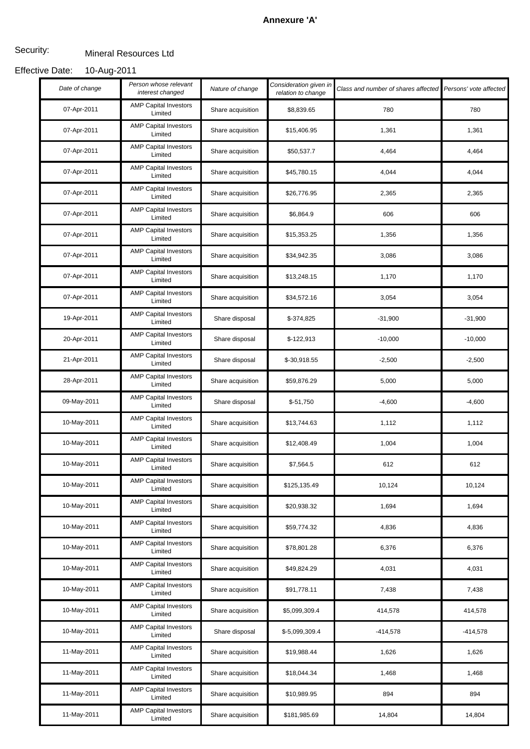# **Annexure 'A'**

#### Mineral Resources Ltd Security:

#### 10-Aug-2011 Effective Date:

| Date of change | Person whose relevant<br>interest changed | Nature of change  | Consideration given in<br>relation to change | Class and number of shares affected Persons' vote affected |           |
|----------------|-------------------------------------------|-------------------|----------------------------------------------|------------------------------------------------------------|-----------|
| 07-Apr-2011    | <b>AMP Capital Investors</b><br>Limited   | Share acquisition | \$8,839.65                                   | 780                                                        | 780       |
| 07-Apr-2011    | <b>AMP Capital Investors</b><br>Limited   | Share acquisition | \$15,406.95                                  | 1,361                                                      | 1,361     |
| 07-Apr-2011    | <b>AMP Capital Investors</b><br>Limited   | Share acquisition | \$50,537.7                                   | 4,464                                                      | 4,464     |
| 07-Apr-2011    | <b>AMP Capital Investors</b><br>Limited   | Share acquisition | \$45,780.15                                  | 4,044                                                      | 4,044     |
| 07-Apr-2011    | <b>AMP Capital Investors</b><br>Limited   | Share acquisition | \$26,776.95                                  | 2,365                                                      | 2,365     |
| 07-Apr-2011    | <b>AMP Capital Investors</b><br>Limited   | Share acquisition | \$6,864.9                                    | 606                                                        | 606       |
| 07-Apr-2011    | <b>AMP Capital Investors</b><br>Limited   | Share acquisition | \$15,353.25                                  | 1,356                                                      | 1,356     |
| 07-Apr-2011    | <b>AMP Capital Investors</b><br>Limited   | Share acquisition | \$34,942.35                                  | 3,086                                                      | 3,086     |
| 07-Apr-2011    | <b>AMP Capital Investors</b><br>Limited   | Share acquisition | \$13,248.15                                  | 1,170                                                      | 1,170     |
| 07-Apr-2011    | <b>AMP Capital Investors</b><br>Limited   | Share acquisition | \$34,572.16                                  | 3,054                                                      | 3,054     |
| 19-Apr-2011    | <b>AMP Capital Investors</b><br>Limited   | Share disposal    | \$-374,825                                   | $-31,900$                                                  | $-31,900$ |
| 20-Apr-2011    | <b>AMP Capital Investors</b><br>Limited   | Share disposal    | $$-122,913$                                  | $-10,000$                                                  | $-10,000$ |
| 21-Apr-2011    | <b>AMP Capital Investors</b><br>Limited   | Share disposal    | \$-30,918.55                                 | $-2,500$                                                   | $-2,500$  |
| 28-Apr-2011    | <b>AMP Capital Investors</b><br>Limited   | Share acquisition | \$59,876.29                                  | 5,000                                                      | 5,000     |
| 09-May-2011    | <b>AMP Capital Investors</b><br>Limited   | Share disposal    | $$-51,750$                                   | $-4,600$                                                   | $-4,600$  |
| 10-May-2011    | <b>AMP Capital Investors</b><br>Limited   | Share acquisition | \$13,744.63                                  | 1,112                                                      | 1,112     |
| 10-May-2011    | <b>AMP Capital Investors</b><br>Limited   | Share acquisition | \$12,408.49                                  | 1,004                                                      | 1,004     |
| 10-May-2011    | <b>AMP Capital Investors</b><br>Limited   | Share acquisition | \$7,564.5                                    | 612                                                        | 612       |
| 10-May-2011    | <b>AMP Capital Investors</b><br>Limited   | Share acquisition | \$125,135.49                                 | 10,124                                                     | 10,124    |
| 10-May-2011    | <b>AMP Capital Investors</b><br>Limited   | Share acquisition | \$20,938.32                                  | 1,694                                                      | 1,694     |
| 10-May-2011    | <b>AMP Capital Investors</b><br>Limited   | Share acquisition | \$59,774.32                                  | 4,836                                                      | 4,836     |
| 10-May-2011    | <b>AMP Capital Investors</b><br>Limited   | Share acquisition | \$78,801.28                                  | 6,376                                                      | 6,376     |
| 10-May-2011    | <b>AMP Capital Investors</b><br>Limited   | Share acquisition | \$49,824.29                                  | 4,031                                                      | 4,031     |
| 10-May-2011    | <b>AMP Capital Investors</b><br>Limited   | Share acquisition | \$91,778.11                                  | 7,438                                                      | 7,438     |
| 10-May-2011    | <b>AMP Capital Investors</b><br>Limited   | Share acquisition | \$5,099,309.4                                | 414,578                                                    | 414,578   |
| 10-May-2011    | <b>AMP Capital Investors</b><br>Limited   | Share disposal    | \$-5,099,309.4                               | $-414,578$                                                 | -414,578  |
| 11-May-2011    | <b>AMP Capital Investors</b><br>Limited   | Share acquisition | \$19,988.44                                  | 1,626                                                      | 1,626     |
| 11-May-2011    | <b>AMP Capital Investors</b><br>Limited   | Share acquisition | \$18,044.34                                  | 1,468                                                      | 1,468     |
| 11-May-2011    | <b>AMP Capital Investors</b><br>Limited   | Share acquisition | \$10,989.95                                  | 894                                                        | 894       |
| 11-May-2011    | <b>AMP Capital Investors</b><br>Limited   | Share acquisition | \$181,985.69                                 | 14,804                                                     | 14,804    |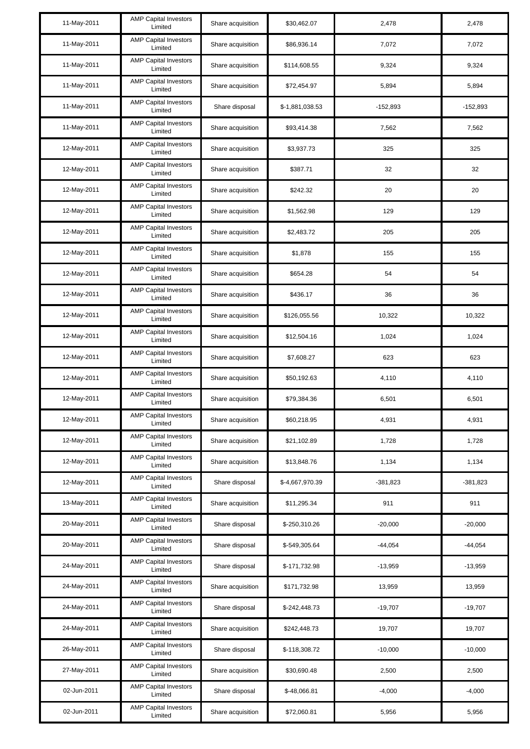| 11-May-2011 | <b>AMP Capital Investors</b><br>Limited | Share acquisition | \$30,462.07     | 2,478      | 2,478      |
|-------------|-----------------------------------------|-------------------|-----------------|------------|------------|
| 11-May-2011 | <b>AMP Capital Investors</b><br>Limited | Share acquisition | \$86,936.14     | 7,072      | 7,072      |
| 11-May-2011 | <b>AMP Capital Investors</b><br>Limited | Share acquisition | \$114,608.55    | 9,324      | 9,324      |
| 11-May-2011 | <b>AMP Capital Investors</b><br>Limited | Share acquisition | \$72,454.97     | 5,894      | 5,894      |
| 11-May-2011 | <b>AMP Capital Investors</b><br>Limited | Share disposal    | \$-1,881,038.53 | $-152,893$ | $-152,893$ |
| 11-May-2011 | <b>AMP Capital Investors</b><br>Limited | Share acquisition | \$93,414.38     | 7,562      | 7,562      |
| 12-May-2011 | <b>AMP Capital Investors</b><br>Limited | Share acquisition | \$3,937.73      | 325        | 325        |
| 12-May-2011 | <b>AMP Capital Investors</b><br>Limited | Share acquisition | \$387.71        | 32         | 32         |
| 12-May-2011 | <b>AMP Capital Investors</b><br>Limited | Share acquisition | \$242.32        | 20         | 20         |
| 12-May-2011 | <b>AMP Capital Investors</b><br>Limited | Share acquisition | \$1,562.98      | 129        | 129        |
| 12-May-2011 | <b>AMP Capital Investors</b><br>Limited | Share acquisition | \$2,483.72      | 205        | 205        |
| 12-May-2011 | <b>AMP Capital Investors</b><br>Limited | Share acquisition | \$1,878         | 155        | 155        |
| 12-May-2011 | <b>AMP Capital Investors</b><br>Limited | Share acquisition | \$654.28        | 54         | 54         |
| 12-May-2011 | <b>AMP Capital Investors</b><br>Limited | Share acquisition | \$436.17        | 36         | 36         |
| 12-May-2011 | <b>AMP Capital Investors</b><br>Limited | Share acquisition | \$126,055.56    | 10,322     | 10,322     |
| 12-May-2011 | <b>AMP Capital Investors</b><br>Limited | Share acquisition | \$12,504.16     | 1,024      | 1,024      |
| 12-May-2011 | <b>AMP Capital Investors</b><br>Limited | Share acquisition | \$7,608.27      | 623        | 623        |
| 12-May-2011 | <b>AMP Capital Investors</b><br>Limited | Share acquisition | \$50,192.63     | 4,110      | 4,110      |
| 12-May-2011 | <b>AMP Capital Investors</b><br>Limited | Share acquisition | \$79,384.36     | 6,501      | 6,501      |
| 12-May-2011 | <b>AMP Capital Investors</b><br>Limited | Share acquisition | \$60,218.95     | 4,931      | 4,931      |
| 12-May-2011 | <b>AMP Capital Investors</b><br>Limited | Share acquisition | \$21,102.89     | 1,728      | 1,728      |
| 12-May-2011 | <b>AMP Capital Investors</b><br>Limited | Share acquisition | \$13,848.76     | 1,134      | 1,134      |
| 12-May-2011 | <b>AMP Capital Investors</b><br>Limited | Share disposal    | \$-4,667,970.39 | $-381,823$ | $-381,823$ |
| 13-May-2011 | <b>AMP Capital Investors</b><br>Limited | Share acquisition | \$11,295.34     | 911        | 911        |
| 20-May-2011 | <b>AMP Capital Investors</b><br>Limited | Share disposal    | \$-250,310.26   | $-20,000$  | $-20,000$  |
| 20-May-2011 | <b>AMP Capital Investors</b><br>Limited | Share disposal    | \$-549,305.64   | $-44,054$  | $-44,054$  |
| 24-May-2011 | <b>AMP Capital Investors</b><br>Limited | Share disposal    | \$-171,732.98   | $-13,959$  | $-13,959$  |
| 24-May-2011 | <b>AMP Capital Investors</b><br>Limited | Share acquisition | \$171,732.98    | 13,959     | 13,959     |
| 24-May-2011 | <b>AMP Capital Investors</b><br>Limited | Share disposal    | \$-242,448.73   | $-19,707$  | $-19,707$  |
| 24-May-2011 | <b>AMP Capital Investors</b><br>Limited | Share acquisition | \$242,448.73    | 19,707     | 19,707     |
| 26-May-2011 | <b>AMP Capital Investors</b><br>Limited | Share disposal    | \$-118,308.72   | $-10,000$  | $-10,000$  |
| 27-May-2011 | <b>AMP Capital Investors</b><br>Limited | Share acquisition | \$30,690.48     | 2,500      | 2,500      |
| 02-Jun-2011 | <b>AMP Capital Investors</b><br>Limited | Share disposal    | $$-48,066.81$   | $-4,000$   | $-4,000$   |
| 02-Jun-2011 | <b>AMP Capital Investors</b><br>Limited | Share acquisition | \$72,060.81     | 5,956      | 5,956      |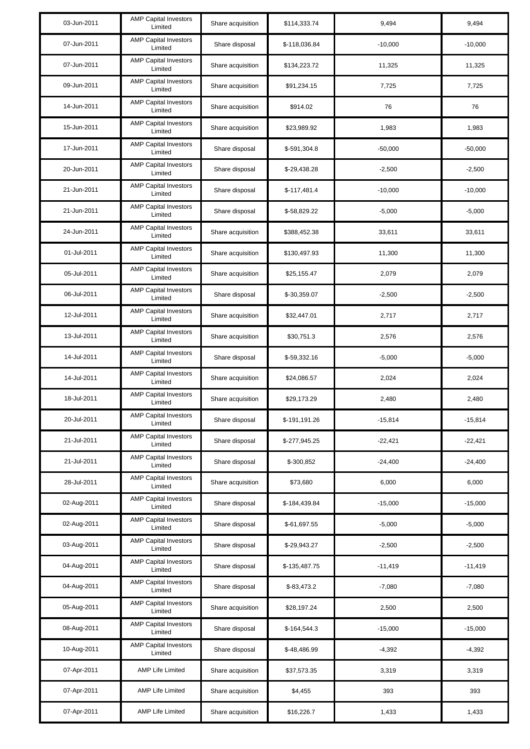| 03-Jun-2011 | <b>AMP Capital Investors</b><br>Limited | Share acquisition | \$114,333.74  | 9,494     | 9,494     |
|-------------|-----------------------------------------|-------------------|---------------|-----------|-----------|
| 07-Jun-2011 | <b>AMP Capital Investors</b><br>Limited | Share disposal    | \$-118,036.84 | $-10,000$ | $-10,000$ |
| 07-Jun-2011 | <b>AMP Capital Investors</b><br>Limited | Share acquisition | \$134,223.72  | 11,325    | 11,325    |
| 09-Jun-2011 | <b>AMP Capital Investors</b><br>Limited | Share acquisition | \$91,234.15   | 7,725     | 7,725     |
| 14-Jun-2011 | <b>AMP Capital Investors</b><br>Limited | Share acquisition | \$914.02      | 76        | 76        |
| 15-Jun-2011 | <b>AMP Capital Investors</b><br>Limited | Share acquisition | \$23,989.92   | 1,983     | 1,983     |
| 17-Jun-2011 | <b>AMP Capital Investors</b><br>Limited | Share disposal    | \$-591,304.8  | $-50,000$ | $-50,000$ |
| 20-Jun-2011 | <b>AMP Capital Investors</b><br>Limited | Share disposal    | \$-29,438.28  | $-2,500$  | $-2,500$  |
| 21-Jun-2011 | <b>AMP Capital Investors</b><br>Limited | Share disposal    | $$-117,481.4$ | $-10,000$ | $-10,000$ |
| 21-Jun-2011 | <b>AMP Capital Investors</b><br>Limited | Share disposal    | \$-58,829.22  | $-5,000$  | $-5,000$  |
| 24-Jun-2011 | <b>AMP Capital Investors</b><br>Limited | Share acquisition | \$388,452.38  | 33,611    | 33,611    |
| 01-Jul-2011 | <b>AMP Capital Investors</b><br>Limited | Share acquisition | \$130,497.93  | 11,300    | 11,300    |
| 05-Jul-2011 | <b>AMP Capital Investors</b><br>Limited | Share acquisition | \$25,155.47   | 2,079     | 2,079     |
| 06-Jul-2011 | <b>AMP Capital Investors</b><br>Limited | Share disposal    | \$-30,359.07  | $-2,500$  | $-2,500$  |
| 12-Jul-2011 | <b>AMP Capital Investors</b><br>Limited | Share acquisition | \$32,447.01   | 2,717     | 2,717     |
| 13-Jul-2011 | <b>AMP Capital Investors</b><br>Limited | Share acquisition | \$30,751.3    | 2,576     | 2,576     |
| 14-Jul-2011 | <b>AMP Capital Investors</b><br>Limited | Share disposal    | $$-59,332.16$ | $-5,000$  | $-5,000$  |
| 14-Jul-2011 | <b>AMP Capital Investors</b><br>Limited | Share acquisition | \$24,086.57   | 2,024     | 2,024     |
| 18-Jul-2011 | <b>AMP Capital Investors</b><br>Limited | Share acquisition | \$29,173.29   | 2,480     | 2,480     |
| 20-Jul-2011 | <b>AMP Capital Investors</b><br>Limited | Share disposal    | \$-191,191.26 | $-15,814$ | $-15,814$ |
| 21-Jul-2011 | <b>AMP Capital Investors</b><br>Limited | Share disposal    | \$-277,945.25 | $-22,421$ | $-22,421$ |
| 21-Jul-2011 | <b>AMP Capital Investors</b><br>Limited | Share disposal    | \$-300,852    | $-24,400$ | $-24,400$ |
| 28-Jul-2011 | <b>AMP Capital Investors</b><br>Limited | Share acquisition | \$73,680      | 6,000     | 6,000     |
| 02-Aug-2011 | <b>AMP Capital Investors</b><br>Limited | Share disposal    | \$-184,439.84 | $-15,000$ | $-15,000$ |
| 02-Aug-2011 | <b>AMP Capital Investors</b><br>Limited | Share disposal    | \$-61,697.55  | $-5,000$  | $-5,000$  |
| 03-Aug-2011 | <b>AMP Capital Investors</b><br>Limited | Share disposal    | \$-29,943.27  | $-2,500$  | $-2,500$  |
| 04-Aug-2011 | <b>AMP Capital Investors</b><br>Limited | Share disposal    | \$-135,487.75 | $-11,419$ | $-11,419$ |
| 04-Aug-2011 | <b>AMP Capital Investors</b><br>Limited | Share disposal    | $$-83,473.2$  | $-7,080$  | $-7,080$  |
| 05-Aug-2011 | <b>AMP Capital Investors</b><br>Limited | Share acquisition | \$28,197.24   | 2,500     | 2,500     |
| 08-Aug-2011 | <b>AMP Capital Investors</b><br>Limited | Share disposal    | \$-164,544.3  | $-15,000$ | $-15,000$ |
| 10-Aug-2011 | <b>AMP Capital Investors</b><br>Limited | Share disposal    | \$-48,486.99  | $-4,392$  | $-4,392$  |
| 07-Apr-2011 | <b>AMP Life Limited</b>                 | Share acquisition | \$37,573.35   | 3,319     | 3,319     |
| 07-Apr-2011 | <b>AMP Life Limited</b>                 | Share acquisition | \$4,455       | 393       | 393       |
| 07-Apr-2011 | <b>AMP Life Limited</b>                 | Share acquisition | \$16,226.7    | 1,433     | 1,433     |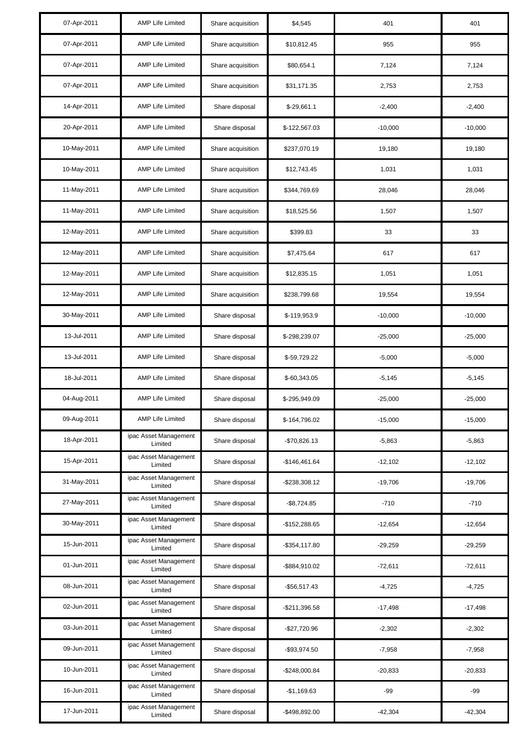| 07-Apr-2011 | <b>AMP Life Limited</b>          | Share acquisition | \$4,545          | 401       | 401       |
|-------------|----------------------------------|-------------------|------------------|-----------|-----------|
| 07-Apr-2011 | <b>AMP Life Limited</b>          | Share acquisition | \$10,812.45      | 955       | 955       |
| 07-Apr-2011 | <b>AMP Life Limited</b>          | Share acquisition | \$80,654.1       | 7,124     | 7,124     |
| 07-Apr-2011 | <b>AMP Life Limited</b>          | Share acquisition | \$31,171.35      | 2,753     | 2,753     |
| 14-Apr-2011 | <b>AMP Life Limited</b>          | Share disposal    | $$-29,661.1$     | $-2,400$  | $-2,400$  |
| 20-Apr-2011 | <b>AMP Life Limited</b>          | Share disposal    | \$-122,567.03    | $-10,000$ | $-10,000$ |
| 10-May-2011 | <b>AMP Life Limited</b>          | Share acquisition | \$237,070.19     | 19,180    | 19,180    |
| 10-May-2011 | <b>AMP Life Limited</b>          | Share acquisition | \$12,743.45      | 1,031     | 1,031     |
| 11-May-2011 | <b>AMP Life Limited</b>          | Share acquisition | \$344,769.69     | 28,046    | 28,046    |
| 11-May-2011 | <b>AMP Life Limited</b>          | Share acquisition | \$18,525.56      | 1,507     | 1,507     |
| 12-May-2011 | <b>AMP Life Limited</b>          | Share acquisition | \$399.83         | 33        | 33        |
| 12-May-2011 | <b>AMP Life Limited</b>          | Share acquisition | \$7,475.64       | 617       | 617       |
| 12-May-2011 | <b>AMP Life Limited</b>          | Share acquisition | \$12,835.15      | 1,051     | 1,051     |
| 12-May-2011 | <b>AMP Life Limited</b>          | Share acquisition | \$238,799.68     | 19,554    | 19,554    |
| 30-May-2011 | <b>AMP Life Limited</b>          | Share disposal    | \$-119,953.9     | $-10,000$ | $-10,000$ |
| 13-Jul-2011 | <b>AMP Life Limited</b>          | Share disposal    | \$-298,239.07    | $-25,000$ | $-25,000$ |
| 13-Jul-2011 | <b>AMP Life Limited</b>          | Share disposal    | \$-59,729.22     | $-5,000$  | $-5,000$  |
| 18-Jul-2011 | <b>AMP Life Limited</b>          | Share disposal    | $$-60,343.05$    | $-5,145$  | $-5,145$  |
| 04-Aug-2011 | <b>AMP Life Limited</b>          | Share disposal    | \$-295,949.09    | $-25,000$ | $-25,000$ |
| 09-Aug-2011 | <b>AMP Life Limited</b>          | Share disposal    | \$-164,796.02    | $-15,000$ | $-15,000$ |
| 18-Apr-2011 | ipac Asset Management<br>Limited | Share disposal    | -\$70,826.13     | $-5,863$  | $-5,863$  |
| 15-Apr-2011 | ipac Asset Management<br>Limited | Share disposal    | $-$146,461.64$   | $-12.102$ | $-12,102$ |
| 31-May-2011 | ipac Asset Management<br>Limited | Share disposal    | $-$ \$238,308.12 | $-19,706$ | $-19,706$ |
| 27-May-2011 | ipac Asset Management<br>Limited | Share disposal    | $-$ \$8,724.85   | $-710$    | $-710$    |
| 30-May-2011 | ipac Asset Management<br>Limited | Share disposal    | -\$152,288.65    | $-12,654$ | $-12,654$ |
| 15-Jun-2011 | ipac Asset Management<br>Limited | Share disposal    | $-$ \$354,117.80 | $-29,259$ | $-29,259$ |
| 01-Jun-2011 | ipac Asset Management<br>Limited | Share disposal    | -\$884,910.02    | $-72,611$ | $-72,611$ |
| 08-Jun-2011 | ipac Asset Management<br>Limited | Share disposal    | $-$ \$56,517.43  | $-4,725$  | $-4,725$  |
| 02-Jun-2011 | ipac Asset Management<br>Limited | Share disposal    | $-$211,396.58$   | $-17,498$ | $-17,498$ |
| 03-Jun-2011 | ipac Asset Management<br>Limited | Share disposal    | -\$27,720.96     | $-2,302$  | $-2,302$  |
| 09-Jun-2011 | ipac Asset Management<br>Limited | Share disposal    | -\$93,974.50     | $-7,958$  | $-7,958$  |
| 10-Jun-2011 | ipac Asset Management<br>Limited | Share disposal    | $-$248,000.84$   | $-20,833$ | $-20,833$ |
| 16-Jun-2011 | ipac Asset Management<br>Limited | Share disposal    | $-$1,169.63$     | $-99$     | -99       |
| 17-Jun-2011 | ipac Asset Management<br>Limited | Share disposal    | $-$498,892.00$   | $-42,304$ | $-42,304$ |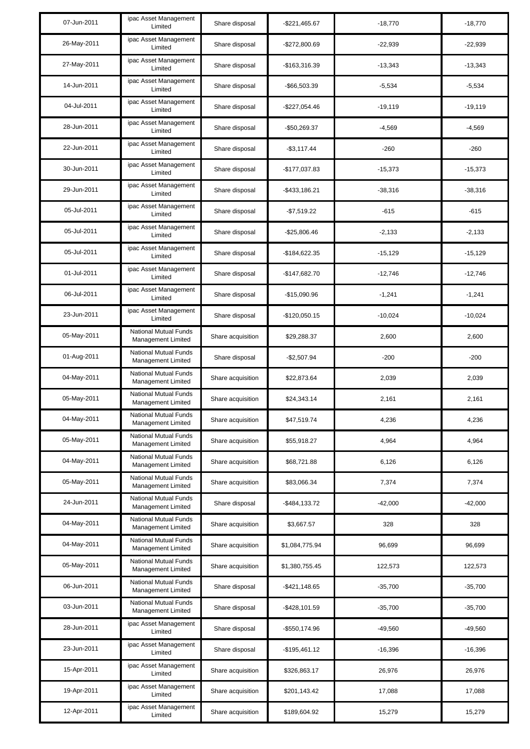| 07-Jun-2011 | ipac Asset Management<br>Limited                   | Share disposal    | $-$ \$221,465.67 | $-18,770$ | $-18,770$ |
|-------------|----------------------------------------------------|-------------------|------------------|-----------|-----------|
| 26-May-2011 | ipac Asset Management<br>Limited                   | Share disposal    | $-$272,800.69$   | $-22,939$ | $-22.939$ |
| 27-May-2011 | ipac Asset Management<br>Limited                   | Share disposal    | -\$163,316.39    | $-13,343$ | $-13,343$ |
| 14-Jun-2011 | ipac Asset Management<br>Limited                   | Share disposal    | -\$66,503.39     | $-5,534$  | $-5,534$  |
| 04-Jul-2011 | ipac Asset Management<br>Limited                   | Share disposal    | $-$227,054.46$   | $-19,119$ | $-19,119$ |
| 28-Jun-2011 | ipac Asset Management<br>Limited                   | Share disposal    | -\$50,269.37     | $-4,569$  | $-4,569$  |
| 22-Jun-2011 | ipac Asset Management<br>Limited                   | Share disposal    | $-$3,117.44$     | $-260$    | $-260$    |
| 30-Jun-2011 | ipac Asset Management<br>Limited                   | Share disposal    | $-$177,037.83$   | $-15,373$ | $-15,373$ |
| 29-Jun-2011 | ipac Asset Management<br>Limited                   | Share disposal    | $-$ \$433,186.21 | $-38,316$ | $-38,316$ |
| 05-Jul-2011 | ipac Asset Management<br>Limited                   | Share disposal    | $-$7,519.22$     | $-615$    | $-615$    |
| 05-Jul-2011 | ipac Asset Management<br>Limited                   | Share disposal    | $-$25,806.46$    | $-2,133$  | $-2,133$  |
| 05-Jul-2011 | ipac Asset Management<br>Limited                   | Share disposal    | -\$184,622.35    | $-15,129$ | $-15,129$ |
| 01-Jul-2011 | ipac Asset Management<br>Limited                   | Share disposal    | $-$147,682.70$   | $-12,746$ | $-12,746$ |
| 06-Jul-2011 | ipac Asset Management<br>Limited                   | Share disposal    | $-$15,090.96$    | $-1,241$  | $-1,241$  |
| 23-Jun-2011 | ipac Asset Management<br>Limited                   | Share disposal    | $-$120,050.15$   | $-10,024$ | $-10,024$ |
| 05-May-2011 | National Mutual Funds<br>Management Limited        | Share acquisition | \$29,288.37      | 2,600     | 2,600     |
| 01-Aug-2011 | National Mutual Funds<br>Management Limited        | Share disposal    | $-$2,507.94$     | $-200$    | $-200$    |
| 04-May-2011 | National Mutual Funds<br>Management Limited        | Share acquisition | \$22,873.64      | 2,039     | 2,039     |
| 05-May-2011 | National Mutual Funds<br>Management Limited        | Share acquisition | \$24,343.14      | 2,161     | 2,161     |
| 04-May-2011 | National Mutual Funds<br><b>Management Limited</b> | Share acquisition | \$47,519.74      | 4,236     | 4,236     |
| 05-May-2011 | National Mutual Funds<br>Management Limited        | Share acquisition | \$55,918.27      | 4,964     | 4,964     |
| 04-May-2011 | National Mutual Funds<br>Management Limited        | Share acquisition | \$68,721.88      | 6,126     | 6,126     |
| 05-May-2011 | National Mutual Funds<br>Management Limited        | Share acquisition | \$83,066.34      | 7,374     | 7,374     |
| 24-Jun-2011 | National Mutual Funds<br>Management Limited        | Share disposal    | $-$ \$484,133.72 | $-42,000$ | $-42,000$ |
| 04-May-2011 | National Mutual Funds<br>Management Limited        | Share acquisition | \$3,667.57       | 328       | 328       |
| 04-May-2011 | National Mutual Funds<br>Management Limited        | Share acquisition | \$1,084,775.94   | 96,699    | 96,699    |
| 05-May-2011 | National Mutual Funds<br>Management Limited        | Share acquisition | \$1,380,755.45   | 122,573   | 122,573   |
| 06-Jun-2011 | National Mutual Funds<br>Management Limited        | Share disposal    | $-$421,148.65$   | $-35,700$ | $-35,700$ |
| 03-Jun-2011 | National Mutual Funds<br>Management Limited        | Share disposal    | -\$428,101.59    | $-35,700$ | $-35,700$ |
| 28-Jun-2011 | ipac Asset Management<br>Limited                   | Share disposal    | -\$550,174.96    | $-49,560$ | $-49,560$ |
| 23-Jun-2011 | ipac Asset Management<br>Limited                   | Share disposal    | $-$195,461.12$   | $-16,396$ | $-16,396$ |
| 15-Apr-2011 | ipac Asset Management<br>Limited                   | Share acquisition | \$326,863.17     | 26,976    | 26,976    |
| 19-Apr-2011 | ipac Asset Management<br>Limited                   | Share acquisition | \$201,143.42     | 17,088    | 17,088    |
| 12-Apr-2011 | ipac Asset Management<br>Limited                   | Share acquisition | \$189,604.92     | 15,279    | 15,279    |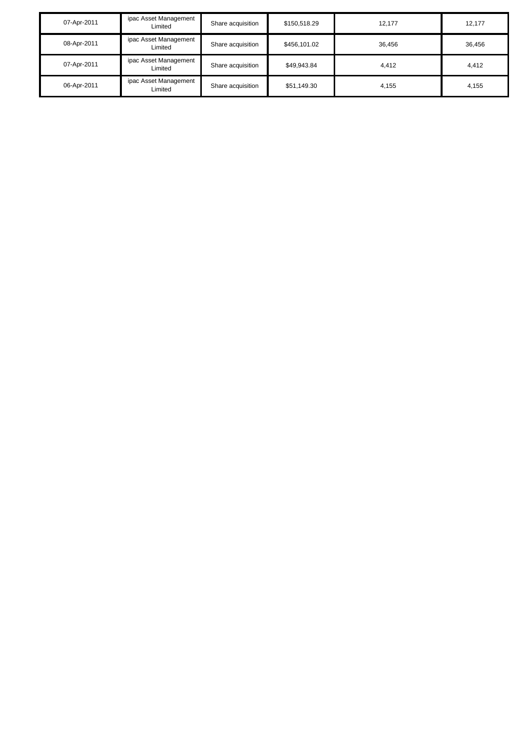| 07-Apr-2011 | ipac Asset Management<br>Limited | Share acquisition | \$150,518.29 | 12.177 | 12,177 |
|-------------|----------------------------------|-------------------|--------------|--------|--------|
| 08-Apr-2011 | ipac Asset Management<br>Limited | Share acquisition | \$456,101.02 | 36,456 | 36,456 |
| 07-Apr-2011 | ipac Asset Management<br>Limited | Share acquisition | \$49,943.84  | 4.412  | 4,412  |
| 06-Apr-2011 | ipac Asset Management<br>Limited | Share acquisition | \$51,149.30  | 4.155  | 4,155  |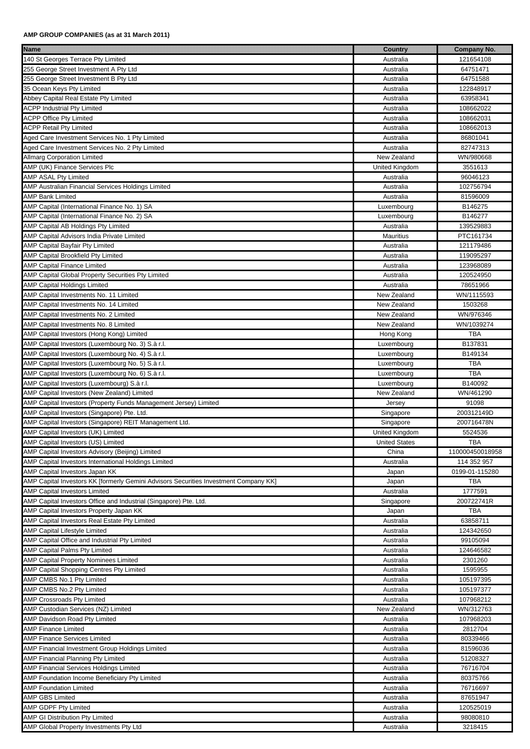| <b>Name</b><br><u> 1999 - Johann John Stoff, fransk politik (f. 1989)</u>            | <b>Country</b>       | <b>Company No.</b> |
|--------------------------------------------------------------------------------------|----------------------|--------------------|
| 140 St Georges Terrace Pty Limited                                                   | Australia            | 121654108          |
| 255 George Street Investment A Pty Ltd                                               | Australia            | 64751471           |
| 255 George Street Investment B Pty Ltd                                               | Australia            | 64751588           |
| 35 Ocean Keys Pty Limited                                                            | Australia            | 122848917          |
| Abbey Capital Real Estate Pty Limited                                                | Australia            | 63958341           |
| <b>ACPP Industrial Pty Limited</b>                                                   | Australia            | 108662022          |
| <b>ACPP Office Pty Limited</b>                                                       | Australia            | 108662031          |
| <b>ACPP Retail Pty Limited</b>                                                       | Australia            | 108662013          |
|                                                                                      |                      |                    |
| Aged Care Investment Services No. 1 Pty Limited                                      | Australia            | 86801041           |
| Aged Care Investment Services No. 2 Pty Limited                                      | Australia            | 82747313           |
| <b>Allmarg Corporation Limited</b>                                                   | New Zealand          | WN/980668          |
| AMP (UK) Finance Services Plc                                                        | United Kingdom       | 3551613            |
| <b>AMP ASAL Pty Limited</b>                                                          | Australia            | 96046123           |
| AMP Australian Financial Services Holdings Limited                                   | Australia            | 102756794          |
| <b>AMP Bank Limited</b>                                                              | Australia            | 81596009           |
| AMP Capital (International Finance No. 1) SA                                         | Luxembourg           | B146275            |
| AMP Capital (International Finance No. 2) SA                                         | Luxembourg           | B146277            |
| AMP Capital AB Holdings Pty Limited                                                  | Australia            | 139529883          |
| AMP Capital Advisors India Private Limited                                           | <b>Mauritius</b>     | PTC161734          |
| AMP Capital Bayfair Pty Limited                                                      | Australia            | 121179486          |
| AMP Capital Brookfield Pty Limited                                                   | Australia            | 119095297          |
| <b>AMP Capital Finance Limited</b>                                                   | Australia            | 123968089          |
| AMP Capital Global Property Securities Pty Limited                                   | Australia            | 120524950          |
| <b>AMP Capital Holdings Limited</b>                                                  | Australia            | 78651966           |
| AMP Capital Investments No. 11 Limited                                               | New Zealand          | WN/1115593         |
| AMP Capital Investments No. 14 Limited                                               | New Zealand          | 1503268            |
| AMP Capital Investments No. 2 Limited                                                | New Zealand          | WN/976346          |
| AMP Capital Investments No. 8 Limited                                                | New Zealand          | WN/1039274         |
|                                                                                      |                      |                    |
| AMP Capital Investors (Hong Kong) Limited                                            | Hong Kong            | <b>TBA</b>         |
| AMP Capital Investors (Luxembourg No. 3) S.à r.l.                                    | Luxembourg           | B137831            |
| AMP Capital Investors (Luxembourg No. 4) S.à r.l.                                    | Luxembourg           | B149134            |
| AMP Capital Investors (Luxembourg No. 5) S.à r.l.                                    | Luxembourg           | <b>TBA</b>         |
| AMP Capital Investors (Luxembourg No. 6) S.à r.l.                                    | Luxembourg           | <b>TBA</b>         |
| AMP Capital Investors (Luxembourg) S.à r.l.                                          | Luxembourg           | B140092            |
| AMP Capital Investors (New Zealand) Limited                                          | New Zealand          | WN/461290          |
| AMP Capital Investors (Property Funds Management Jersey) Limited                     | Jersey               | 91098              |
| AMP Capital Investors (Singapore) Pte. Ltd.                                          | Singapore            | 200312149D         |
| AMP Capital Investors (Singapore) REIT Management Ltd.                               | Singapore            | 200716478N         |
| AMP Capital Investors (UK) Limited                                                   | United Kingdom       | 5524536            |
| AMP Capital Investors (US) Limited                                                   | <b>United States</b> | <b>TBA</b>         |
| AMP Capital Investors Advisory (Beijing) Limited                                     | China                | 110000450018958    |
| AMP Capital Investors International Holdings Limited                                 | Australia            | 114 352 957        |
| AMP Capital Investors Japan KK                                                       | Japan                | 0199-01-115280     |
| AMP Capital Investors KK [formerly Gemini Advisors Securities Investment Company KK] | Japan                | <b>TBA</b>         |
| <b>AMP Capital Investors Limited</b>                                                 | Australia            | 1777591            |
| AMP Capital Investors Office and Industrial (Singapore) Pte. Ltd.                    | Singapore            | 200722741R         |
| AMP Capital Investors Property Japan KK                                              | Japan                | <b>TBA</b>         |
| AMP Capital Investors Real Estate Pty Limited                                        | Australia            | 63858711           |
| <b>AMP Capital Lifestyle Limited</b>                                                 | Australia            | 124342650          |
| AMP Capital Office and Industrial Pty Limited                                        | Australia            | 99105094           |
| <b>AMP Capital Palms Pty Limited</b>                                                 | Australia            | 124646582          |
| <b>AMP Capital Property Nominees Limited</b>                                         | Australia            | 2301260            |
| AMP Capital Shopping Centres Pty Limited                                             | Australia            | 1595955            |
| AMP CMBS No.1 Pty Limited                                                            | Australia            | 105197395          |
| AMP CMBS No.2 Pty Limited                                                            | Australia            | 105197377          |
| AMP Crossroads Pty Limited                                                           | Australia            | 107968212          |
|                                                                                      |                      |                    |
| AMP Custodian Services (NZ) Limited                                                  | New Zealand          | WN/312763          |
| AMP Davidson Road Pty Limited                                                        | Australia            | 107968203          |
| <b>AMP Finance Limited</b>                                                           | Australia            | 2812704            |
| <b>AMP Finance Services Limited</b>                                                  | Australia            | 80339466           |
| AMP Financial Investment Group Holdings Limited                                      | Australia            | 81596036           |
| AMP Financial Planning Pty Limited                                                   | Australia            | 51208327           |
| AMP Financial Services Holdings Limited                                              | Australia            | 76716704           |
| AMP Foundation Income Beneficiary Pty Limited                                        | Australia            | 80375766           |
| <b>AMP Foundation Limited</b>                                                        | Australia            | 76716697           |
| <b>AMP GBS Limited</b>                                                               | Australia            | 87651947           |
| AMP GDPF Pty Limited                                                                 | Australia            | 120525019          |
| AMP GI Distribution Pty Limited                                                      | Australia            | 98080810           |
| AMP Global Property Investments Pty Ltd                                              | Australia            | 3218415            |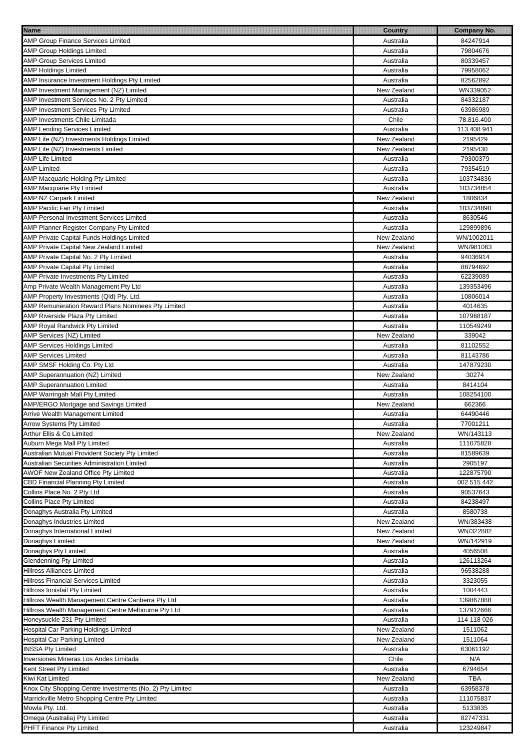| <u> 1989 - Andrea Stadt British, fransk politik (d. 1989)</u><br><b>Name</b> | <b>Country</b>           | <b>Company No.</b>   |
|------------------------------------------------------------------------------|--------------------------|----------------------|
| <b>AMP Group Finance Services Limited</b>                                    | Australia                | 84247914             |
| <b>AMP Group Holdings Limited</b>                                            | Australia                | 79804676             |
| <b>AMP Group Services Limited</b>                                            | Australia                | 80339457             |
| <b>AMP Holdings Limited</b>                                                  | Australia                | 79958062             |
| AMP Insurance Investment Holdings Pty Limited                                | Australia                | 82562892             |
| AMP Investment Management (NZ) Limited                                       | New Zealand              | WN339052             |
| AMP Investment Services No. 2 Pty Limited                                    | Australia                | 84332187             |
| AMP Investment Services Pty Limited                                          | Australia                | 63986989             |
| AMP Investments Chile Limitada                                               | Chile                    | 78.816.400           |
| <b>AMP Lending Services Limited</b>                                          | Australia                | 113 408 941          |
| AMP Life (NZ) Investments Holdings Limited                                   | New Zealand              | 2195429              |
| AMP Life (NZ) Investments Limited                                            | New Zealand              | 2195430              |
| <b>AMP Life Limited</b>                                                      | Australia                | 79300379             |
| <b>AMP Limited</b>                                                           | Australia                | 79354519             |
| AMP Macquarie Holding Pty Limited                                            | Australia                | 103734836            |
| <b>AMP Macquarie Pty Limited</b>                                             | Australia                | 103734854            |
| <b>AMP NZ Carpark Limited</b>                                                | New Zealand              | 1806834              |
| <b>AMP Pacific Fair Pty Limited</b>                                          | Australia                | 103734890            |
| <b>AMP Personal Investment Services Limited</b>                              | Australia                | 8630546              |
| AMP Planner Register Company Pty Limited                                     | Australia                | 129899896            |
| AMP Private Capital Funds Holdings Limited                                   | New Zealand              | WN/1002011           |
| AMP Private Capital New Zealand Limited                                      | New Zealand              | WN/981063            |
| AMP Private Capital No. 2 Pty Limited                                        | Australia                | 94036914             |
| <b>AMP Private Capital Pty Limited</b>                                       | Australia                | 88794692             |
| AMP Private Investments Pty Limited                                          | Australia                | 62239089             |
| Amp Private Wealth Management Pty Ltd                                        | Australia                | 139353496            |
| AMP Property Investments (Qld) Pty. Ltd.                                     | Australia                | 10806014             |
| AMP Remuneration Reward Plans Nominees Pty Limited                           | Australia                | 4014635              |
| AMP Riverside Plaza Pty Limited                                              | Australia                | 107968187            |
| AMP Royal Randwick Pty Limited                                               | Australia                | 110549249            |
| AMP Services (NZ) Limited                                                    | New Zealand              | 339042               |
|                                                                              |                          |                      |
| <b>AMP Services Holdings Limited</b><br><b>AMP Services Limited</b>          | Australia<br>Australia   | 81102552<br>81143786 |
|                                                                              |                          |                      |
| AMP SMSF Holding Co. Pty Ltd<br>AMP Superannuation (NZ) Limited              | Australia<br>New Zealand | 147879230<br>30274   |
| <b>AMP Superannuation Limited</b>                                            | Australia                | 8414104              |
|                                                                              | Australia                | 108254100            |
| AMP Warringah Mall Pty Limited<br>AMP/ERGO Mortgage and Savings Limited      | New Zealand              | 662366               |
| Arrive Wealth Management Limited                                             | Australia                | 64490446             |
| <b>Arrow Systems Pty Limited</b>                                             | Australia                | 77001211             |
| Arthur Ellis & Co Limited                                                    | New Zealand              | WN/143113            |
| Auburn Mega Mall Pty Limited                                                 | Australia                | 111075828            |
| Australian Mutual Provident Society Pty Limited                              | Australia                | 81589639             |
| Australian Securities Administration Limited                                 | Australia                | 2905197              |
| AWOF New Zealand Office Pty Limited                                          | Australia                | 122875790            |
| CBD Financial Planning Pty Limited                                           | Australia                | 002 515 442          |
| Collins Place No. 2 Pty Ltd                                                  | Australia                | 90537643             |
| <b>Collins Place Pty Limited</b>                                             | Australia                | 84238497             |
| Donaghys Australia Pty Limited                                               | Australia                | 8580738              |
| Donaghys Industries Limited                                                  | New Zealand              | WN/383438            |
| Donaghys International Limited                                               | New Zealand              | WN/322882            |
| Donaghys Limited                                                             | New Zealand              | WN/142919            |
| Donaghys Pty Limited                                                         | Australia                | 4056508              |
| <b>Glendenning Pty Limited</b>                                               | Australia                | 126113264            |
| <b>Hillross Alliances Limited</b>                                            | Australia                | 96538288             |
| Hillross Financial Services Limited                                          | Australia                | 3323055              |
| Hillross Innisfail Pty Limited                                               | Australia                | 1004443              |
| Hillross Wealth Management Centre Canberra Pty Ltd                           | Australia                | 139867888            |
| Hillross Wealth Management Centre Melbourne Pty Ltd                          | Australia                | 137912666            |
| Honeysuckle 231 Pty Limited                                                  | Australia                | 114 118 026          |
| Hospital Car Parking Holdings Limited                                        | New Zealand              | 1511062              |
| Hospital Car Parking Limited                                                 | New Zealand              | 1511064              |
| <b>INSSA Pty Limited</b>                                                     | Australia                | 63061192             |
| Inversiones Mineras Los Andes Limitada                                       | Chile                    | N/A                  |
| Kent Street Pty Limited                                                      | Australia                | 6794654              |
| Kiwi Kat Limited                                                             | New Zealand              | TBA                  |
| Knox City Shopping Centre Investments (No. 2) Pty Limited                    | Australia                | 63958378             |
| Marrickville Metro Shopping Centre Pty Limited                               | Australia                | 111075837            |
| Mowla Pty. Ltd.                                                              | Australia                | 5133835              |
| Omega (Australia) Pty Limited                                                | Australia                | 82747331             |
| PHFT Finance Pty Limited                                                     | Australia                | 123249847            |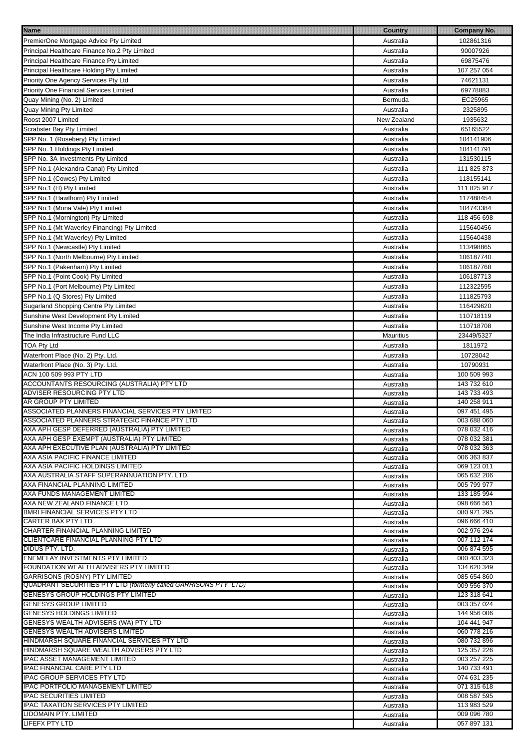| <b>Name</b>                                                     | <b>Country</b> | <b>Company No.</b> |
|-----------------------------------------------------------------|----------------|--------------------|
| PremierOne Mortgage Advice Pty Limited                          | Australia      | 102861316          |
| Principal Healthcare Finance No.2 Pty Limited                   | Australia      | 90007926           |
|                                                                 |                | 69875476           |
| Principal Healthcare Finance Pty Limited                        | Australia      |                    |
| Principal Healthcare Holding Pty Limited                        | Australia      | 107 257 054        |
| Priority One Agency Services Pty Ltd                            | Australia      | 74621131           |
| <b>Priority One Financial Services Limited</b>                  | Australia      | 69778883           |
| Quay Mining (No. 2) Limited                                     | Bermuda        | EC25965            |
| Quay Mining Pty Limited                                         | Australia      | 2325895            |
| Roost 2007 Limited                                              | New Zealand    | 1935632            |
| <b>Scrabster Bay Pty Limited</b>                                | Australia      | 65165522           |
| SPP No. 1 (Rosebery) Pty Limited                                | Australia      | 104141906          |
|                                                                 |                |                    |
| SPP No. 1 Holdings Pty Limited                                  | Australia      | 104141791          |
| SPP No. 3A Investments Pty Limited                              | Australia      | 131530115          |
| SPP No.1 (Alexandra Canal) Pty Limited                          | Australia      | 111 825 873        |
| SPP No.1 (Cowes) Pty Limited                                    | Australia      | 118155141          |
| SPP No.1 (H) Pty Limited                                        | Australia      | 111 825 917        |
| SPP No.1 (Hawthorn) Pty Limited                                 | Australia      | 117488454          |
| SPP No.1 (Mona Vale) Pty Limited                                | Australia      | 104743384          |
| SPP No.1 (Mornington) Pty Limited                               | Australia      | 118 456 698        |
| SPP No.1 (Mt Waverley Financing) Pty Limited                    | Australia      | 115640456          |
| SPP No.1 (Mt Waverley) Pty Limited                              | Australia      | 115640438          |
|                                                                 |                |                    |
| SPP No.1 (Newcastle) Pty Limited                                | Australia      | 113498865          |
| SPP No.1 (North Melbourne) Pty Limited                          | Australia      | 106187740          |
| SPP No.1 (Pakenham) Pty Limited                                 | Australia      | 106187768          |
| SPP No.1 (Point Cook) Pty Limited                               | Australia      | 106187713          |
| SPP No.1 (Port Melbourne) Pty Limited                           | Australia      | 112322595          |
| SPP No.1 (Q Stores) Pty Limited                                 | Australia      | 111825793          |
| Sugarland Shopping Centre Pty Limited                           | Australia      | 116429620          |
| Sunshine West Development Pty Limited                           | Australia      | 110718119          |
| Sunshine West Income Pty Limited                                | Australia      | 110718708          |
| The India Infrastructure Fund LLC                               | Mauritius      | 23449/5327         |
| <b>TOA Pty Ltd</b>                                              | Australia      | 1811972            |
| Waterfront Place (No. 2) Pty. Ltd.                              | Australia      | 10728042           |
| Waterfront Place (No. 3) Pty. Ltd.                              | Australia      | 10790931           |
| ACN 100 509 993 PTY LTD                                         | Australia      | 100 509 993        |
| ACCOUNTANTS RESOURCING (AUSTRALIA) PTY LTD                      | Australia      | 143 732 610        |
| <b>ADVISER RESOURCING PTY LTD</b>                               | Australia      | 143 733 493        |
| AR GROUP PTY LIMITED                                            | Australia      | 140 258 911        |
| ASSOCIATED PLANNERS FINANCIAL SERVICES PTY LIMITED              | Australia      | 097 451 495        |
| ASSOCIATED PLANNERS STRATEGIC FINANCE PTY LTD                   | Australia      | 003 688 060        |
| AXA APH GESP DEFERRED (AUSTRALIA) PTY LIMITED                   | Australia      | 078 032 416        |
| AXA APH GESP EXEMPT (AUSTRALIA) PTY LIMITED                     | Australia      | 078 032 381        |
| AXA APH EXECUTIVE PLAN (AUSTRALIA) PTY LIMITED                  | Australia      | 078 032 363        |
| AXA ASIA PACIFIC FINANCE LIMITED                                | Australia      | 006 363 837        |
| AXA ASIA PACIFIC HOLDINGS LIMITED                               | Australia      | 069 123 011        |
| AXA AUSTRALIA STAFF SUPERANNUATION PTY. LTD.                    | Australia      | 065 632 206        |
| AXA FINANCIAL PLANNING LIMITED                                  | Australia      | 005 799 977        |
| AXA FUNDS MANAGEMENT LIMITED                                    | Australia      | 133 185 994        |
| AXA NEW ZEALAND FINANCE LTD                                     | Australia      | 098 666 561        |
| BMRI FINANCIAL SERVICES PTY LTD                                 | Australia      | 080 971 295        |
| <b>CARTER BAX PTY LTD</b>                                       | Australia      | 096 666 410        |
| CHARTER FINANCIAL PLANNING LIMITED                              | Australia      | 002 976 294        |
| CLIENTCARE FINANCIAL PLANNING PTY LTD                           | Australia      | 007 112 174        |
| DIDUS PTY. LTD.                                                 | Australia      | 006 874 595        |
| <b>ENEMELAY INVESTMENTS PTY LIMITED</b>                         | Australia      | 000 403 323        |
| FOUNDATION WEALTH ADVISERS PTY LIMITED                          | Australia      | 134 620 349        |
| GARRISONS (ROSNY) PTY LIMITED                                   | Australia      | 085 654 860        |
| QUADRANT SECURITIES PTY LTD (formerly called GARRISONS PTY_LTD) | Australia      | 009 556 370        |
| <b>GENESYS GROUP HOLDINGS PTY LIMITED</b>                       | Australia      | 123 318 641        |
| <b>GENESYS GROUP LIMITED</b>                                    | Australia      | 003 357 024        |
| <b>GENESYS HOLDINGS LIMITED</b>                                 | Australia      | 144 956 006        |
| GENESYS WEALTH ADVISERS (WA) PTY LTD                            | Australia      | 104 441 947        |
| <b>GENESYS WEALTH ADVISERS LIMITED</b>                          | Australia      | 060 778 216        |
| HINDMARSH SQUARE FINANCIAL SERVICES PTY LTD                     | Australia      | 080 732 896        |
| HINDMARSH SQUARE WEALTH ADVISERS PTY LTD                        | Australia      | 125 357 226        |
| <b>IPAC ASSET MANAGEMENT LIMITED</b>                            | Australia      | 003 257 225        |
| <b>IPAC FINANCIAL CARE PTY LTD</b>                              | Australia      | 140 733 491        |
| <b>IPAC GROUP SERVICES PTY LTD</b>                              | Australia      | 074 631 235        |
| <b>IPAC PORTFOLIO MANAGEMENT LIMITED</b>                        | Australia      | 071 315 618        |
| <b>IPAC SECURITIES LIMITED</b>                                  | Australia      | 008 587 595        |
| <b>IPAC TAXATION SERVICES PTY LIMITED</b>                       | Australia      | 113 983 529        |
| LIDOMAIN PTY. LIMITED                                           | Australia      | 009 096 780        |
| LIFEFX PTY LTD                                                  | Australia      | 057 897 131        |